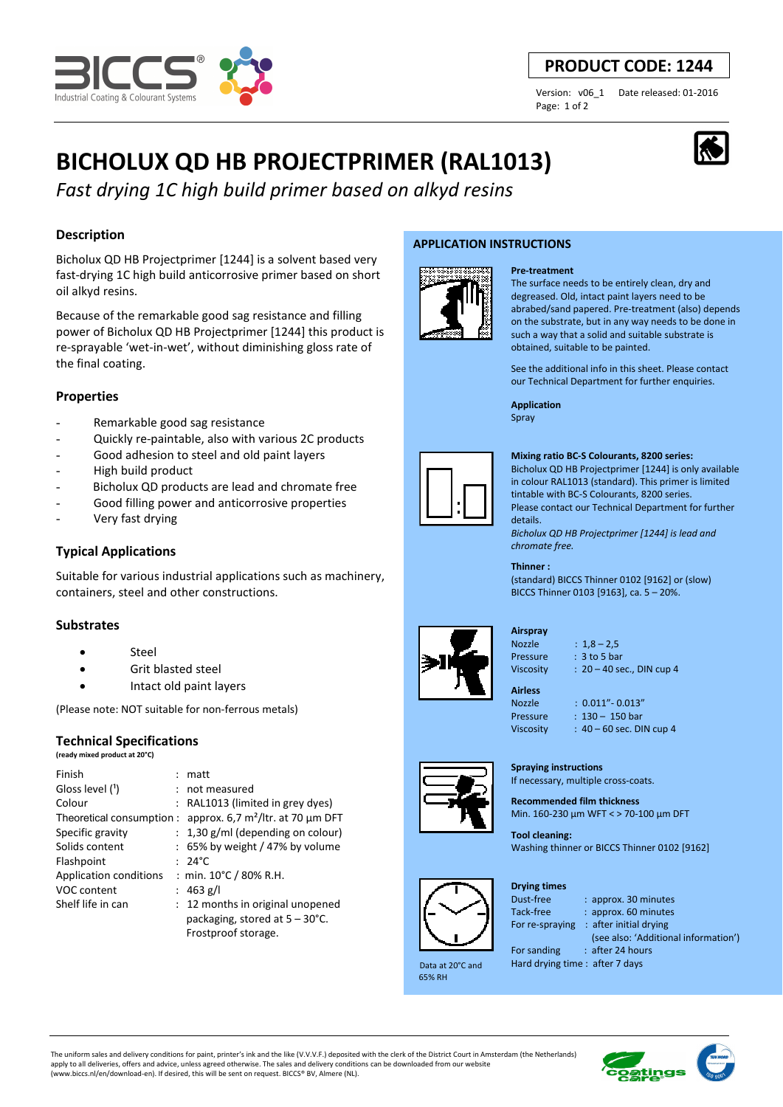

## **PRODUCT CODE: 1244**

Page: 1 of 2

Version: v06\_1 Date released: 01-2016

# **BICHOLUX QD HB PROJECTPRIMER (RAL1013)**

*Fast drying 1C high build primer based on alkyd resins*

## **Description**

Bicholux QD HB Projectprimer [1244] is a solvent based very fast-drying 1C high build anticorrosive primer based on short oil alkyd resins.

Because of the remarkable good sag resistance and filling power of Bicholux QD HB Projectprimer [1244] this product is re-sprayable 'wet-in-wet', without diminishing gloss rate of the final coating.

## **Properties**

- Remarkable good sag resistance
- Quickly re-paintable, also with various 2C products
- Good adhesion to steel and old paint layers
- High build product
- Bicholux QD products are lead and chromate free
- Good filling power and anticorrosive properties
- Very fast drying

## **Typical Applications**

Suitable for various industrial applications such as machinery, containers, steel and other constructions.

## **Substrates**

- Steel
- Grit blasted steel
- Intact old paint layers

(Please note: NOT suitable for non-ferrous metals)

## **Technical Specifications**

**(ready mixed product at 20°C)**

| Finish                   | matt                                     |
|--------------------------|------------------------------------------|
| Gloss level (1)          | : not measured                           |
| Colour                   | : RAL1013 (limited in grey dyes)         |
| Theoretical consumption: | approx. 6,7 $m^2$ /ltr. at 70 µm DFT     |
| Specific gravity         | $: 1,30$ g/ml (depending on colour)      |
| Solids content           | $: 65\%$ by weight / 47% by volume       |
| Flashpoint               | $: 24^{\circ}$ C                         |
| Application conditions   | : min. 10°C / 80% R.H.                   |
| VOC content              | : 463 g/l                                |
| Shelf life in can        | : 12 months in original unopened         |
|                          | packaging, stored at $5 - 30^{\circ}$ C. |
|                          | Frostproof storage.                      |

## **APPLICATION INSTRUCTIONS**



#### **Pre-treatment**

The surface needs to be entirely clean, dry and degreased. Old, intact paint layers need to be abrabed/sand papered. Pre-treatment (also) depends on the substrate, but in any way needs to be done in such a way that a solid and suitable substrate is obtained, suitable to be painted.

See the additional info in this sheet. Please contact our Technical Department for further enquiries.

**Application**  Spray



#### **Mixing ratio BC-S Colourants, 8200 series:**

Bicholux QD HB Projectprimer [1244] is only available in colour RAL1013 (standard). This primer is limited tintable with BC-S Colourants, 8200 series. Please contact our Technical Department for further details. *Bicholux QD HB Projectprimer [1244] is lead and* 

*chromate free.*

**Thinner :**  (standard) BICCS Thinner 0102 [9162] or (slow) BICCS Thinner 0103 [9163], ca. 5 – 20%.



#### **Airspray**  Nozzle : 1,8 – 2,5

Pressure : 3 to 5 bar

Viscosity : 20 – 40 sec., DIN cup 4

**Airless** 

Nozzle : 0.011"- 0.013" Pressure : 130 - 150 bar Viscosity : 40 – 60 sec. DIN cup 4

## **Spraying instructions**

If necessary, multiple cross-coats.

**Recommended film thickness**  Min. 160-230 µm WFT < > 70-100 µm DFT

**Tool cleaning:**  Washing thinner or BICCS Thinner 0102 [9162]



 Data at 20°C and 65% RH

**Drying times** Dust-free : approx. 30 minutes

Tack-free : approx. 60 minutes For re-spraying : after initial drying (see also: 'Additional information') For sanding : after 24 hours

Hard drying time : after 7 days

The uniform sales and delivery conditions for paint, printer's ink and the like (V.V.V.F.) deposited with the clerk of the District Court in Amsterdam (the Netherlands) apply to all deliveries, offers and advice, unless agreed otherwise. The sales and delivery conditions can be downloaded from our website (www.biccs.nl/en/download-en). If desired, this will be sent on request. BICCS® BV, Almere (NL).